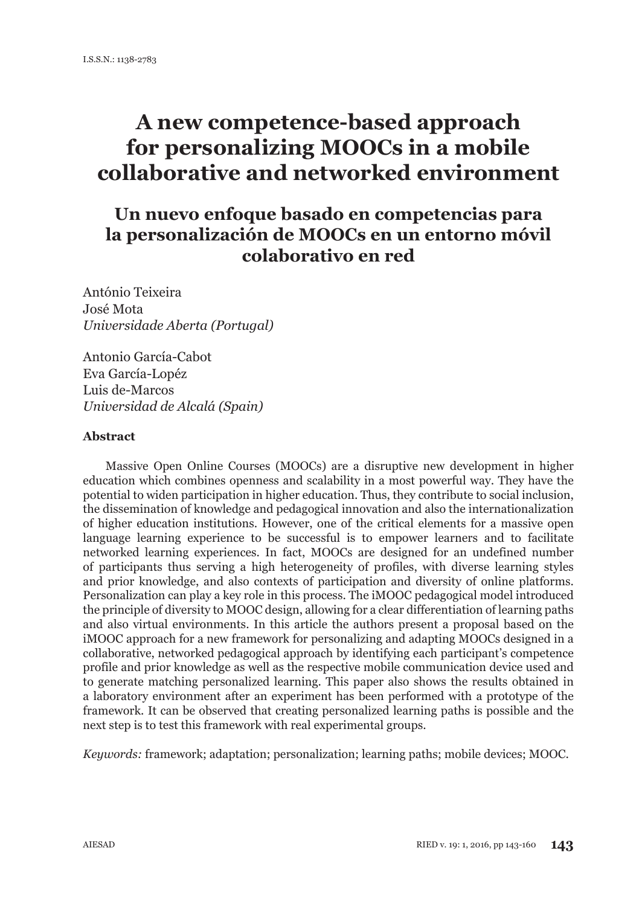# **A new competence-based approach for personalizing MOOCs in a mobile collaborative and networked environment**

## **Un nuevo enfoque basado en competencias para la personalización de MOOCs en un entorno móvil colaborativo en red**

António Teixeira José Mota *Universidade Aberta (Portugal)*

Antonio García-Cabot Eva García-Lopéz Luis de-Marcos *Universidad de Alcalá (Spain)*

#### **Abstract**

Massive Open Online Courses (MOOCs) are a disruptive new development in higher education which combines openness and scalability in a most powerful way. They have the potential to widen participation in higher education. Thus, they contribute to social inclusion, the dissemination of knowledge and pedagogical innovation and also the internationalization of higher education institutions. However, one of the critical elements for a massive open language learning experience to be successful is to empower learners and to facilitate networked learning experiences. In fact, MOOCs are designed for an undefined number of participants thus serving a high heterogeneity of profiles, with diverse learning styles and prior knowledge, and also contexts of participation and diversity of online platforms. Personalization can play a key role in this process. The iMOOC pedagogical model introduced the principle of diversity to MOOC design, allowing for a clear differentiation of learning paths and also virtual environments. In this article the authors present a proposal based on the iMOOC approach for a new framework for personalizing and adapting MOOCs designed in a collaborative, networked pedagogical approach by identifying each participant's competence profile and prior knowledge as well as the respective mobile communication device used and to generate matching personalized learning. This paper also shows the results obtained in a laboratory environment after an experiment has been performed with a prototype of the framework. It can be observed that creating personalized learning paths is possible and the next step is to test this framework with real experimental groups.

*Keywords:* framework; adaptation; personalization; learning paths; mobile devices; MOOC.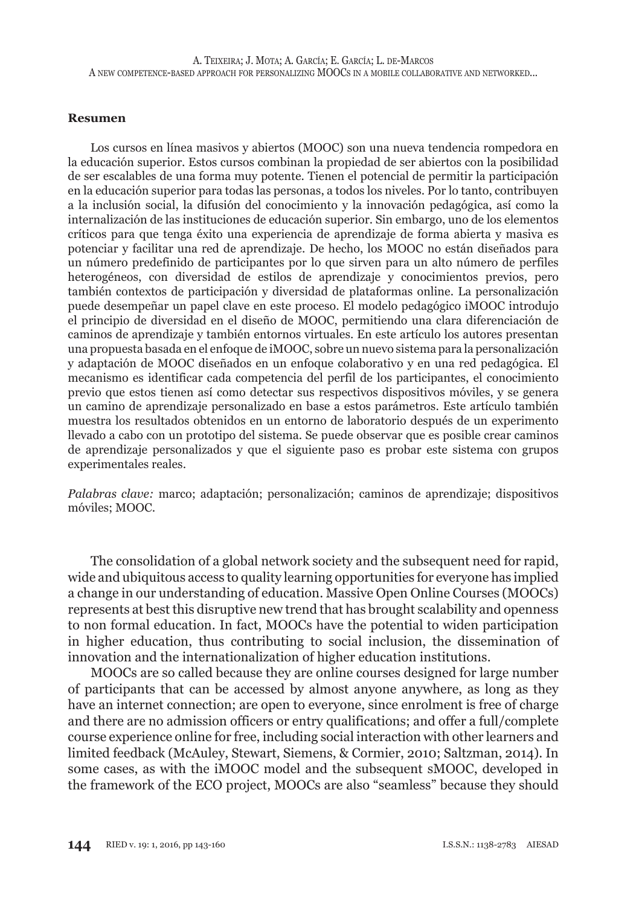#### **Resumen**

Los cursos en línea masivos y abiertos (MOOC) son una nueva tendencia rompedora en la educación superior. Estos cursos combinan la propiedad de ser abiertos con la posibilidad de ser escalables de una forma muy potente. Tienen el potencial de permitir la participación en la educación superior para todas las personas, a todos los niveles. Por lo tanto, contribuyen a la inclusión social, la difusión del conocimiento y la innovación pedagógica, así como la internalización de las instituciones de educación superior. Sin embargo, uno de los elementos críticos para que tenga éxito una experiencia de aprendizaje de forma abierta y masiva es potenciar y facilitar una red de aprendizaje. De hecho, los MOOC no están diseñados para un número predefinido de participantes por lo que sirven para un alto número de perfiles heterogéneos, con diversidad de estilos de aprendizaje y conocimientos previos, pero también contextos de participación y diversidad de plataformas online. La personalización puede desempeñar un papel clave en este proceso. El modelo pedagógico iMOOC introdujo el principio de diversidad en el diseño de MOOC, permitiendo una clara diferenciación de caminos de aprendizaje y también entornos virtuales. En este artículo los autores presentan una propuesta basada en el enfoque de iMOOC, sobre un nuevo sistema para la personalización y adaptación de MOOC diseñados en un enfoque colaborativo y en una red pedagógica. El mecanismo es identificar cada competencia del perfil de los participantes, el conocimiento previo que estos tienen así como detectar sus respectivos dispositivos móviles, y se genera un camino de aprendizaje personalizado en base a estos parámetros. Este artículo también muestra los resultados obtenidos en un entorno de laboratorio después de un experimento llevado a cabo con un prototipo del sistema. Se puede observar que es posible crear caminos de aprendizaje personalizados y que el siguiente paso es probar este sistema con grupos experimentales reales.

*Palabras clave:* marco; adaptación; personalización; caminos de aprendizaje; dispositivos móviles; MOOC.

The consolidation of a global network society and the subsequent need for rapid, wide and ubiquitous access to quality learning opportunities for everyone has implied a change in our understanding of education. Massive Open Online Courses (MOOCs) represents at best this disruptive new trend that has brought scalability and openness to non formal education. In fact, MOOCs have the potential to widen participation in higher education, thus contributing to social inclusion, the dissemination of innovation and the internationalization of higher education institutions.

MOOCs are so called because they are online courses designed for large number of participants that can be accessed by almost anyone anywhere, as long as they have an internet connection; are open to everyone, since enrolment is free of charge and there are no admission officers or entry qualifications; and offer a full/complete course experience online for free, including social interaction with other learners and limited feedback (McAuley, Stewart, Siemens, & Cormier, 2010; Saltzman, 2014). In some cases, as with the iMOOC model and the subsequent sMOOC, developed in the framework of the ECO project, MOOCs are also "seamless" because they should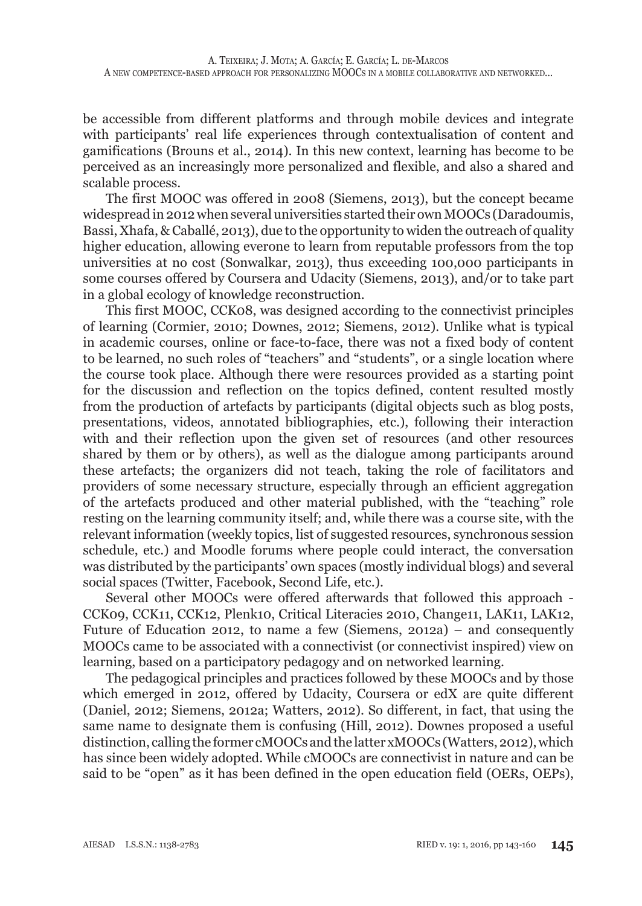be accessible from different platforms and through mobile devices and integrate with participants' real life experiences through contextualisation of content and gamifications (Brouns et al., 2014). In this new context, learning has become to be perceived as an increasingly more personalized and flexible, and also a shared and scalable process.

The first MOOC was offered in 2008 (Siemens, 2013), but the concept became widespread in 2012 when several universities started their own MOOCs (Daradoumis, Bassi, Xhafa, & Caballé, 2013), due to the opportunity to widen the outreach of quality higher education, allowing everone to learn from reputable professors from the top universities at no cost (Sonwalkar, 2013), thus exceeding 100,000 participants in some courses offered by Coursera and Udacity (Siemens, 2013), and/or to take part in a global ecology of knowledge reconstruction.

This first MOOC, CCK08, was designed according to the connectivist principles of learning (Cormier, 2010; Downes, 2012; Siemens, 2012). Unlike what is typical in academic courses, online or face-to-face, there was not a fixed body of content to be learned, no such roles of "teachers" and "students", or a single location where the course took place. Although there were resources provided as a starting point for the discussion and reflection on the topics defined, content resulted mostly from the production of artefacts by participants (digital objects such as blog posts, presentations, videos, annotated bibliographies, etc.), following their interaction with and their reflection upon the given set of resources (and other resources shared by them or by others), as well as the dialogue among participants around these artefacts; the organizers did not teach, taking the role of facilitators and providers of some necessary structure, especially through an efficient aggregation of the artefacts produced and other material published, with the "teaching" role resting on the learning community itself; and, while there was a course site, with the relevant information (weekly topics, list of suggested resources, synchronous session schedule, etc.) and Moodle forums where people could interact, the conversation was distributed by the participants' own spaces (mostly individual blogs) and several social spaces (Twitter, Facebook, Second Life, etc.).

Several other MOOCs were offered afterwards that followed this approach - CCK09, CCK11, CCK12, Plenk10, Critical Literacies 2010, Change11, LAK11, LAK12, Future of Education 2012, to name a few (Siemens, 2012a) – and consequently MOOCs came to be associated with a connectivist (or connectivist inspired) view on learning, based on a participatory pedagogy and on networked learning.

The pedagogical principles and practices followed by these MOOCs and by those which emerged in 2012, offered by Udacity, Coursera or edX are quite different (Daniel, 2012; Siemens, 2012a; Watters, 2012). So different, in fact, that using the same name to designate them is confusing (Hill, 2012). Downes proposed a useful distinction, calling the former cMOOCs and the latter xMOOCs (Watters, 2012), which has since been widely adopted. While cMOOCs are connectivist in nature and can be said to be "open" as it has been defined in the open education field (OERs, OEPs),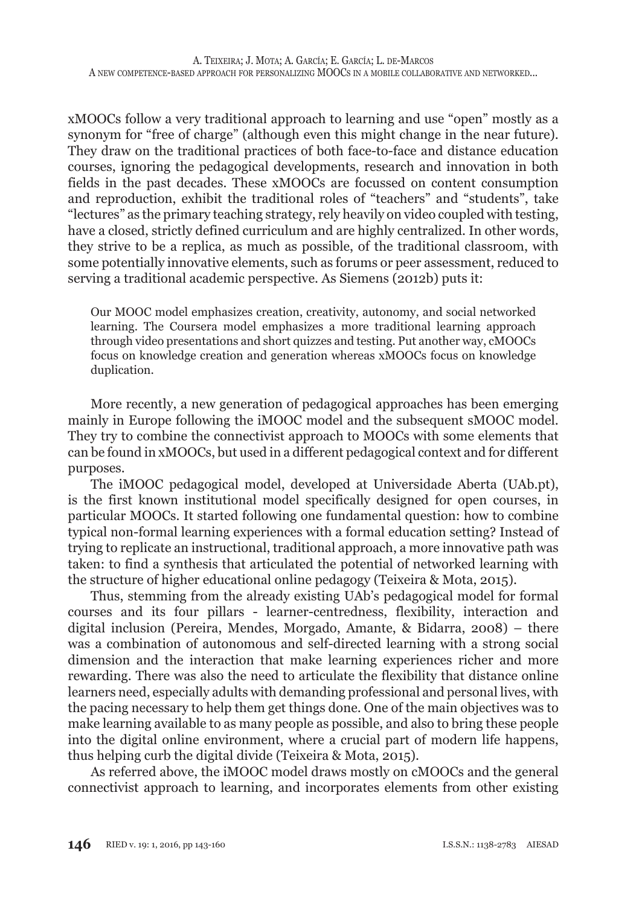xMOOCs follow a very traditional approach to learning and use "open" mostly as a synonym for "free of charge" (although even this might change in the near future). They draw on the traditional practices of both face-to-face and distance education courses, ignoring the pedagogical developments, research and innovation in both fields in the past decades. These xMOOCs are focussed on content consumption and reproduction, exhibit the traditional roles of "teachers" and "students", take "lectures" as the primary teaching strategy, rely heavily on video coupled with testing, have a closed, strictly defined curriculum and are highly centralized. In other words, they strive to be a replica, as much as possible, of the traditional classroom, with some potentially innovative elements, such as forums or peer assessment, reduced to serving a traditional academic perspective. As Siemens (2012b) puts it:

Our MOOC model emphasizes creation, creativity, autonomy, and social networked learning. The Coursera model emphasizes a more traditional learning approach through video presentations and short quizzes and testing. Put another way, cMOOCs focus on knowledge creation and generation whereas xMOOCs focus on knowledge duplication.

More recently, a new generation of pedagogical approaches has been emerging mainly in Europe following the iMOOC model and the subsequent sMOOC model. They try to combine the connectivist approach to MOOCs with some elements that can be found in xMOOCs, but used in a different pedagogical context and for different purposes.

The iMOOC pedagogical model, developed at Universidade Aberta (UAb.pt), is the first known institutional model specifically designed for open courses, in particular MOOCs. It started following one fundamental question: how to combine typical non-formal learning experiences with a formal education setting? Instead of trying to replicate an instructional, traditional approach, a more innovative path was taken: to find a synthesis that articulated the potential of networked learning with the structure of higher educational online pedagogy (Teixeira & Mota, 2015).

Thus, stemming from the already existing UAb's pedagogical model for formal courses and its four pillars - learner-centredness, flexibility, interaction and digital inclusion (Pereira, Mendes, Morgado, Amante, & Bidarra, 2008) – there was a combination of autonomous and self-directed learning with a strong social dimension and the interaction that make learning experiences richer and more rewarding. There was also the need to articulate the flexibility that distance online learners need, especially adults with demanding professional and personal lives, with the pacing necessary to help them get things done. One of the main objectives was to make learning available to as many people as possible, and also to bring these people into the digital online environment, where a crucial part of modern life happens, thus helping curb the digital divide (Teixeira & Mota, 2015).

As referred above, the iMOOC model draws mostly on cMOOCs and the general connectivist approach to learning, and incorporates elements from other existing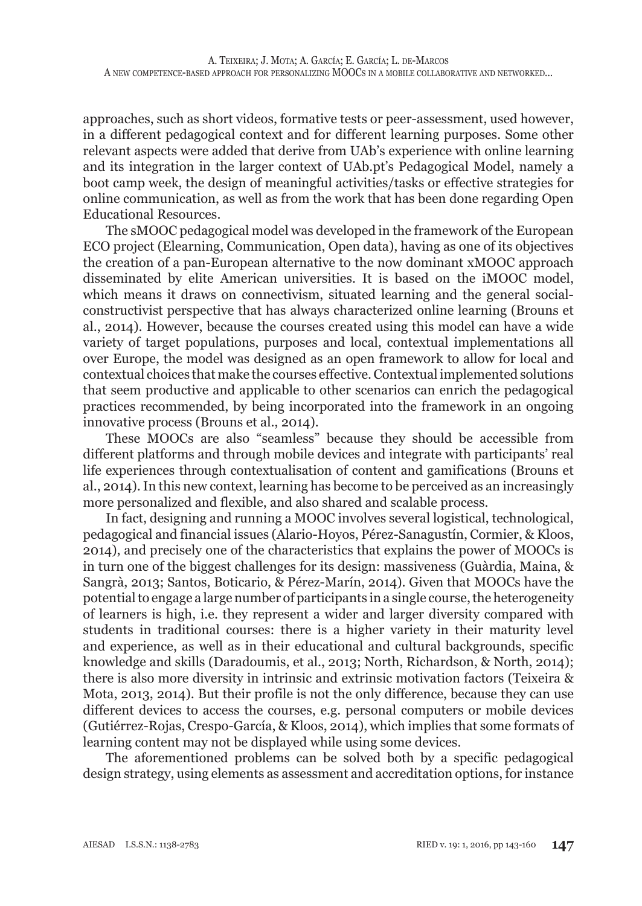approaches, such as short videos, formative tests or peer-assessment, used however, in a different pedagogical context and for different learning purposes. Some other relevant aspects were added that derive from UAb's experience with online learning and its integration in the larger context of UAb.pt's Pedagogical Model, namely a boot camp week, the design of meaningful activities/tasks or effective strategies for online communication, as well as from the work that has been done regarding Open Educational Resources.

The sMOOC pedagogical model was developed in the framework of the European ECO project (Elearning, Communication, Open data), having as one of its objectives the creation of a pan-European alternative to the now dominant xMOOC approach disseminated by elite American universities. It is based on the iMOOC model, which means it draws on connectivism, situated learning and the general socialconstructivist perspective that has always characterized online learning (Brouns et al., 2014). However, because the courses created using this model can have a wide variety of target populations, purposes and local, contextual implementations all over Europe, the model was designed as an open framework to allow for local and contextual choices that make the courses effective. Contextual implemented solutions that seem productive and applicable to other scenarios can enrich the pedagogical practices recommended, by being incorporated into the framework in an ongoing innovative process (Brouns et al., 2014).

These MOOCs are also "seamless" because they should be accessible from different platforms and through mobile devices and integrate with participants' real life experiences through contextualisation of content and gamifications (Brouns et al., 2014). In this new context, learning has become to be perceived as an increasingly more personalized and flexible, and also shared and scalable process.

In fact, designing and running a MOOC involves several logistical, technological, pedagogical and financial issues (Alario-Hoyos, Pérez-Sanagustín, Cormier, & Kloos, 2014), and precisely one of the characteristics that explains the power of MOOCs is in turn one of the biggest challenges for its design: massiveness (Guàrdia, Maina, & Sangrà, 2013; Santos, Boticario, & Pérez-Marín, 2014). Given that MOOCs have the potential to engage a large number of participants in a single course, the heterogeneity of learners is high, i.e. they represent a wider and larger diversity compared with students in traditional courses: there is a higher variety in their maturity level and experience, as well as in their educational and cultural backgrounds, specific knowledge and skills (Daradoumis, et al., 2013; North, Richardson, & North, 2014); there is also more diversity in intrinsic and extrinsic motivation factors (Teixeira & Mota, 2013, 2014). But their profile is not the only difference, because they can use different devices to access the courses, e.g. personal computers or mobile devices (Gutiérrez-Rojas, Crespo-García, & Kloos, 2014), which implies that some formats of learning content may not be displayed while using some devices.

The aforementioned problems can be solved both by a specific pedagogical design strategy, using elements as assessment and accreditation options, for instance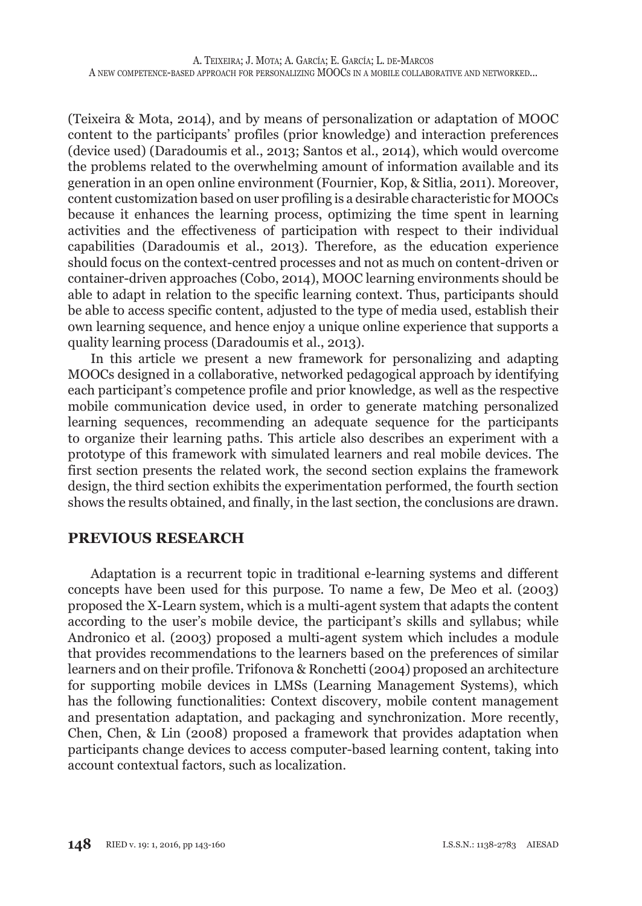(Teixeira & Mota, 2014), and by means of personalization or adaptation of MOOC content to the participants' profiles (prior knowledge) and interaction preferences (device used) (Daradoumis et al., 2013; Santos et al., 2014), which would overcome the problems related to the overwhelming amount of information available and its generation in an open online environment (Fournier, Kop, & Sitlia, 2011). Moreover, content customization based on user profiling is a desirable characteristic for MOOCs because it enhances the learning process, optimizing the time spent in learning activities and the effectiveness of participation with respect to their individual capabilities (Daradoumis et al., 2013). Therefore, as the education experience should focus on the context-centred processes and not as much on content-driven or container-driven approaches (Cobo, 2014), MOOC learning environments should be able to adapt in relation to the specific learning context. Thus, participants should be able to access specific content, adjusted to the type of media used, establish their own learning sequence, and hence enjoy a unique online experience that supports a quality learning process (Daradoumis et al., 2013).

In this article we present a new framework for personalizing and adapting MOOCs designed in a collaborative, networked pedagogical approach by identifying each participant's competence profile and prior knowledge, as well as the respective mobile communication device used, in order to generate matching personalized learning sequences, recommending an adequate sequence for the participants to organize their learning paths. This article also describes an experiment with a prototype of this framework with simulated learners and real mobile devices. The first section presents the related work, the second section explains the framework design, the third section exhibits the experimentation performed, the fourth section shows the results obtained, and finally, in the last section, the conclusions are drawn.

## **PREVIOUS RESEARCH**

Adaptation is a recurrent topic in traditional e-learning systems and different concepts have been used for this purpose. To name a few, De Meo et al. (2003) proposed the X-Learn system, which is a multi-agent system that adapts the content according to the user's mobile device, the participant's skills and syllabus; while Andronico et al. (2003) proposed a multi-agent system which includes a module that provides recommendations to the learners based on the preferences of similar learners and on their profile. Trifonova & Ronchetti (2004) proposed an architecture for supporting mobile devices in LMSs (Learning Management Systems), which has the following functionalities: Context discovery, mobile content management and presentation adaptation, and packaging and synchronization. More recently, Chen, Chen, & Lin (2008) proposed a framework that provides adaptation when participants change devices to access computer-based learning content, taking into account contextual factors, such as localization.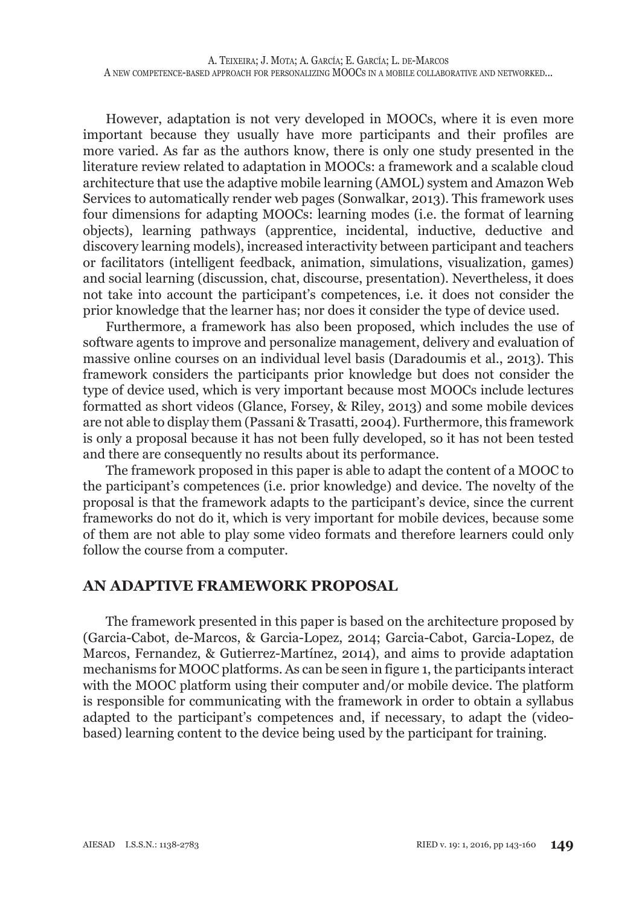However, adaptation is not very developed in MOOCs, where it is even more important because they usually have more participants and their profiles are more varied. As far as the authors know, there is only one study presented in the literature review related to adaptation in MOOCs: a framework and a scalable cloud architecture that use the adaptive mobile learning (AMOL) system and Amazon Web Services to automatically render web pages (Sonwalkar, 2013). This framework uses four dimensions for adapting MOOCs: learning modes (i.e. the format of learning objects), learning pathways (apprentice, incidental, inductive, deductive and discovery learning models), increased interactivity between participant and teachers or facilitators (intelligent feedback, animation, simulations, visualization, games) and social learning (discussion, chat, discourse, presentation). Nevertheless, it does not take into account the participant's competences, i.e. it does not consider the prior knowledge that the learner has; nor does it consider the type of device used.

Furthermore, a framework has also been proposed, which includes the use of software agents to improve and personalize management, delivery and evaluation of massive online courses on an individual level basis (Daradoumis et al., 2013). This framework considers the participants prior knowledge but does not consider the type of device used, which is very important because most MOOCs include lectures formatted as short videos (Glance, Forsey, & Riley, 2013) and some mobile devices are not able to display them (Passani & Trasatti, 2004). Furthermore, this framework is only a proposal because it has not been fully developed, so it has not been tested and there are consequently no results about its performance.

The framework proposed in this paper is able to adapt the content of a MOOC to the participant's competences (i.e. prior knowledge) and device. The novelty of the proposal is that the framework adapts to the participant's device, since the current frameworks do not do it, which is very important for mobile devices, because some of them are not able to play some video formats and therefore learners could only follow the course from a computer.

## **AN ADAPTIVE FRAMEWORK PROPOSAL**

The framework presented in this paper is based on the architecture proposed by (Garcia-Cabot, de-Marcos, & Garcia-Lopez, 2014; Garcia-Cabot, Garcia-Lopez, de Marcos, Fernandez, & Gutierrez-Martínez, 2014), and aims to provide adaptation mechanisms for MOOC platforms. As can be seen in figure 1, the participants interact with the MOOC platform using their computer and/or mobile device. The platform is responsible for communicating with the framework in order to obtain a syllabus adapted to the participant's competences and, if necessary, to adapt the (videobased) learning content to the device being used by the participant for training.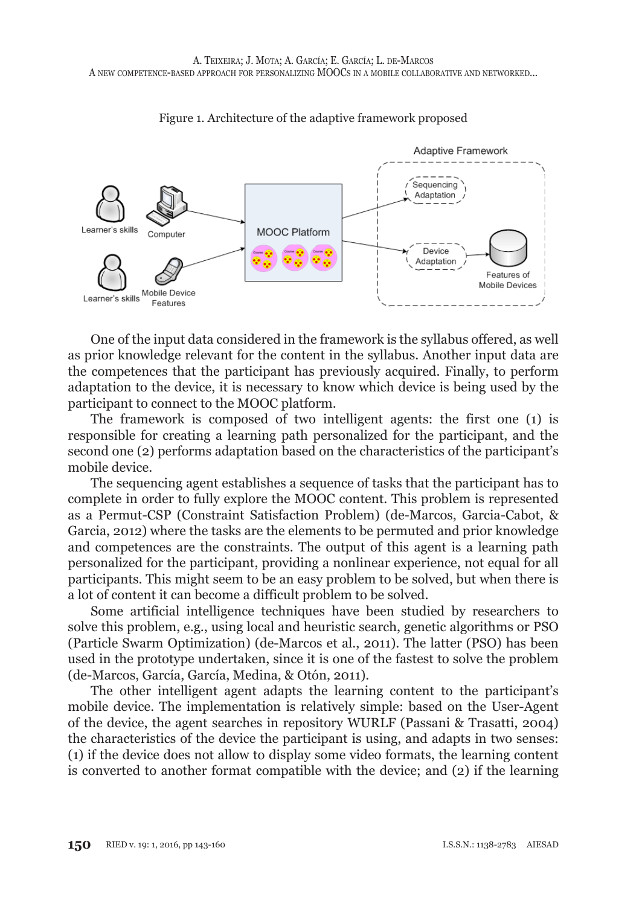

Figure 1. Architecture of the adaptive framework proposed

One of the input data considered in the framework is the syllabus offered, as well as prior knowledge relevant for the content in the syllabus. Another input data are the competences that the participant has previously acquired. Finally, to perform adaptation to the device, it is necessary to know which device is being used by the participant to connect to the MOOC platform.

The framework is composed of two intelligent agents: the first one (1) is responsible for creating a learning path personalized for the participant, and the second one (2) performs adaptation based on the characteristics of the participant's mobile device.

The sequencing agent establishes a sequence of tasks that the participant has to complete in order to fully explore the MOOC content. This problem is represented as a Permut-CSP (Constraint Satisfaction Problem) (de-Marcos, Garcia-Cabot, & Garcia, 2012) where the tasks are the elements to be permuted and prior knowledge and competences are the constraints. The output of this agent is a learning path personalized for the participant, providing a nonlinear experience, not equal for all participants. This might seem to be an easy problem to be solved, but when there is a lot of content it can become a difficult problem to be solved.

Some artificial intelligence techniques have been studied by researchers to solve this problem, e.g., using local and heuristic search, genetic algorithms or PSO (Particle Swarm Optimization) (de-Marcos et al., 2011). The latter (PSO) has been used in the prototype undertaken, since it is one of the fastest to solve the problem (de-Marcos, García, García, Medina, & Otón, 2011).

The other intelligent agent adapts the learning content to the participant's mobile device. The implementation is relatively simple: based on the User-Agent of the device, the agent searches in repository WURLF (Passani & Trasatti, 2004) the characteristics of the device the participant is using, and adapts in two senses: (1) if the device does not allow to display some video formats, the learning content is converted to another format compatible with the device; and (2) if the learning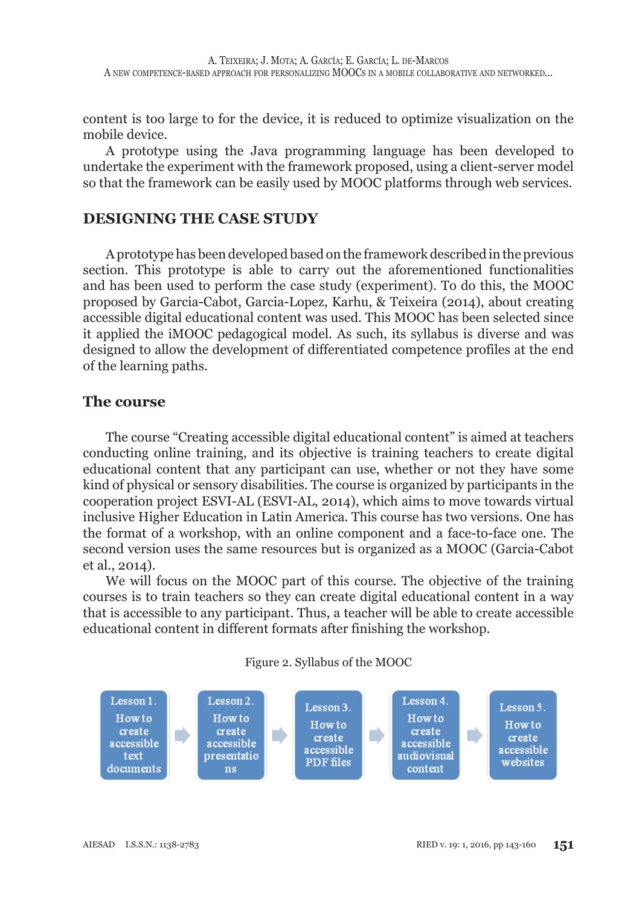content is too large to for the device, it is reduced to optimize visualization on the mobile device.

A prototype using the Java programming language has been developed to undertake the experiment with the framework proposed, using a client-server model so that the framework can be easily used by MOOC platforms through web services.

## **DESIGNING THE CASE STUDY**

A prototype has been developed based on the framework described in the previous section. This prototype is able to carry out the aforementioned functionalities and has been used to perform the case study (experiment). To do this, the MOOC proposed by Garcia-Cabot, Garcia-Lopez, Karhu, & Teixeira (2014), about creating accessible digital educational content was used. This MOOC has been selected since it applied the iMOOC pedagogical model. As such, its syllabus is diverse and was designed to allow the development of differentiated competence profiles at the end of the learning paths.

#### **The course**

The course "Creating accessible digital educational content" is aimed at teachers conducting online training, and its objective is training teachers to create digital educational content that any participant can use, whether or not they have some kind of physical or sensory disabilities. The course is organized by participants in the cooperation project ESVI-AL (ESVI-AL, 2014), which aims to move towards virtual inclusive Higher Education in Latin America. This course has two versions. One has the format of a workshop, with an online component and a face-to-face one. The second version uses the same resources but is organized as a MOOC (Garcia-Cabot et al., 2014).

We will focus on the MOOC part of this course. The objective of the training courses is to train teachers so they can create digital educational content in a way that is accessible to any participant. Thus, a teacher will be able to create accessible educational content in different formats after finishing the workshop.

#### Figure 2. Syllabus of the MOOC

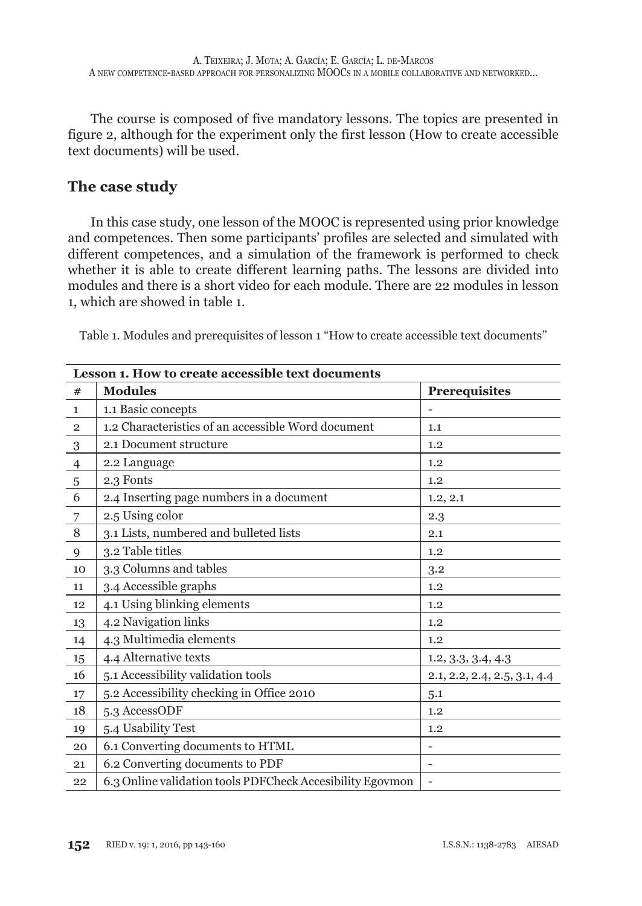The course is composed of five mandatory lessons. The topics are presented in figure 2, although for the experiment only the first lesson (How to create accessible text documents) will be used.

## **The case study**

In this case study, one lesson of the MOOC is represented using prior knowledge and competences. Then some participants' profiles are selected and simulated with different competences, and a simulation of the framework is performed to check whether it is able to create different learning paths. The lessons are divided into modules and there is a short video for each module. There are 22 modules in lesson 1, which are showed in table 1.

**Lesson 1. How to create accessible text documents # Modules Prerequisites**  $1 \mid 1.1$  Basic concepts  $\vert \cdot \vert$ 2 | 1.2 Characteristics of an accessible Word document  $1.1$  $3 \mid 2.1$  Document structure  $1.2$  $4 \mid 2.2$  Language  $1.2$  $\frac{1}{2}$  2.3 Fonts 1.2  $\begin{array}{c|c|c|c} 6 & 2.4 & \text{Inserting page numbers in a document} \end{array}$  1.2, 2.1  $7 \mid 2.5$  Using color 2.3 8 3.1 Lists, numbered and bulleted lists 2.1  $\frac{9}{3.2}$  Table titles 1.2  $10 \mid 3.3$  Columns and tables  $3.2$ 11  $\vert$  3.4 Accessible graphs  $\vert$  1.2  $12 \mid 4.1$  Using blinking elements  $1.2$  $13 \mid 4.2$  Navigation links  $1.2$  $14 \mid 4.3$  Multimedia elements  $1.2$ 15 4.4 Alternative texts 1.2, 3.3, 3.4, 4.3 16 5.1 Accessibility validation tools 2.1, 2.2, 2.4, 2.5, 3.1, 4.4  $17 \mid 5.2$  Accessibility checking in Office 2010  $\mid 5.1 \mid$ 18 5.3 AccessODF 1.2  $19 \mid 5.4$  Usability Test  $1.2$ 20 6.1 Converting documents to HTML  $\vert$  -21 6.2 Converting documents to PDF 22 6.3 Online validation tools PDFCheck Accesibility Egovmon |-

Table 1. Modules and prerequisites of lesson 1 "How to create accessible text documents"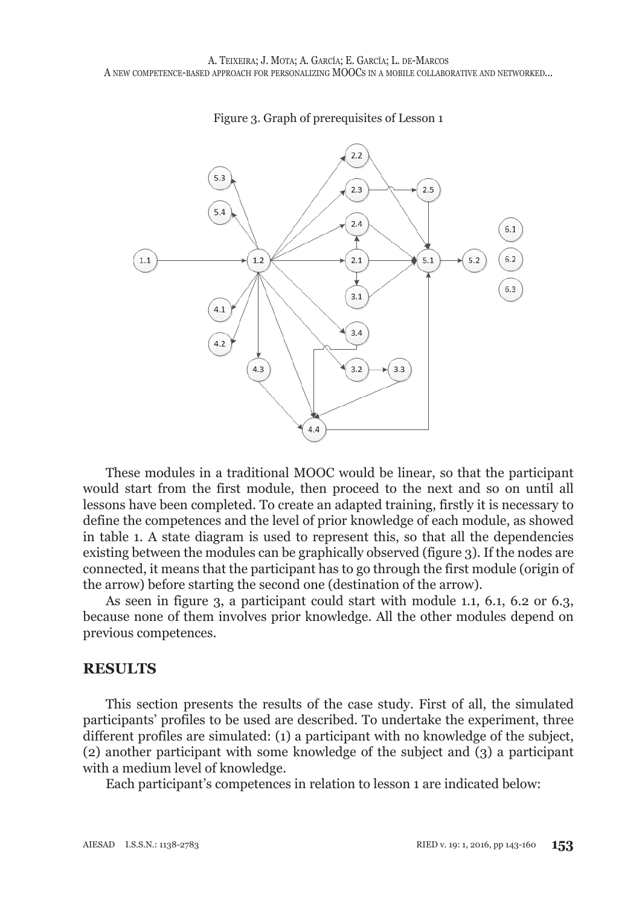

#### Figure 3. Graph of prerequisites of Lesson 1

These modules in a traditional MOOC would be linear, so that the participant would start from the first module, then proceed to the next and so on until all lessons have been completed. To create an adapted training, firstly it is necessary to define the competences and the level of prior knowledge of each module, as showed in table 1. A state diagram is used to represent this, so that all the dependencies existing between the modules can be graphically observed (figure 3). If the nodes are connected, it means that the participant has to go through the first module (origin of the arrow) before starting the second one (destination of the arrow).

As seen in figure 3, a participant could start with module 1.1, 6.1, 6.2 or 6.3, because none of them involves prior knowledge. All the other modules depend on previous competences.

## **RESULTS**

This section presents the results of the case study. First of all, the simulated participants' profiles to be used are described. To undertake the experiment, three different profiles are simulated: (1) a participant with no knowledge of the subject, (2) another participant with some knowledge of the subject and (3) a participant with a medium level of knowledge.

Each participant's competences in relation to lesson 1 are indicated below: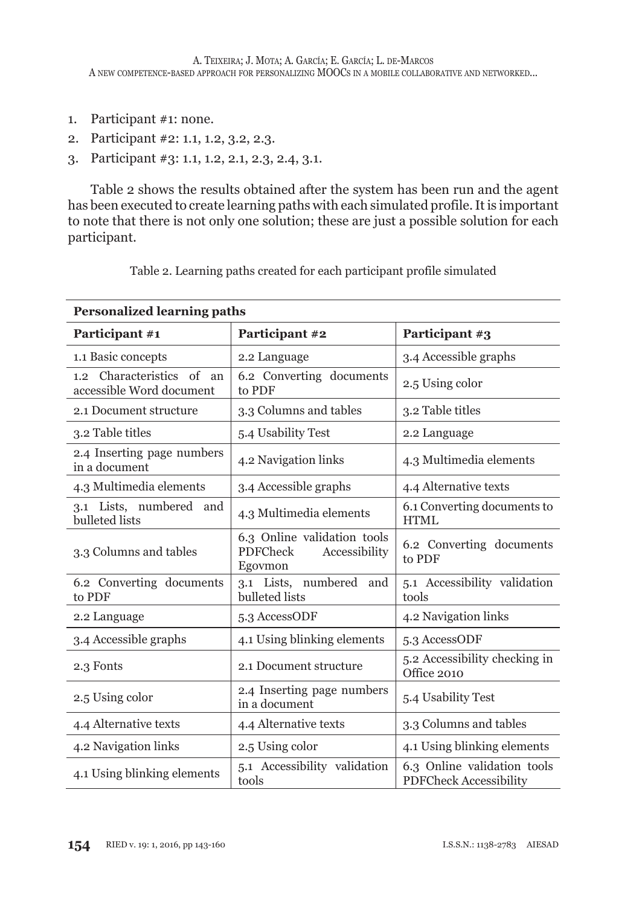- 1. Participant #1: none.
- 2. Participant #2: 1.1, 1.2, 3.2, 2.3.
- 3. Participant #3: 1.1, 1.2, 2.1, 2.3, 2.4, 3.1.

Table 2 shows the results obtained after the system has been run and the agent has been executed to create learning paths with each simulated profile. It is important to note that there is not only one solution; these are just a possible solution for each participant.

| Table 2. Learning paths created for each participant profile simulated |  |  |
|------------------------------------------------------------------------|--|--|
|                                                                        |  |  |

| <b>Personalized learning paths</b>                       |                                                                     |                                                              |  |  |
|----------------------------------------------------------|---------------------------------------------------------------------|--------------------------------------------------------------|--|--|
| Participant #1                                           | Participant #2                                                      | Participant #3                                               |  |  |
| 1.1 Basic concepts                                       | 2.2 Language                                                        | 3.4 Accessible graphs                                        |  |  |
| Characteristics of an<br>1.2<br>accessible Word document | 6.2 Converting documents<br>to PDF                                  | 2.5 Using color                                              |  |  |
| 2.1 Document structure                                   | 3.3 Columns and tables                                              | 3.2 Table titles                                             |  |  |
| 3.2 Table titles                                         | 5.4 Usability Test                                                  | 2.2 Language                                                 |  |  |
| 2.4 Inserting page numbers<br>in a document              | 4.2 Navigation links                                                | 4.3 Multimedia elements                                      |  |  |
| 4.3 Multimedia elements                                  | 3.4 Accessible graphs                                               | 4.4 Alternative texts                                        |  |  |
| 3.1 Lists, numbered<br>and<br>bulleted lists             | 4.3 Multimedia elements                                             | 6.1 Converting documents to<br><b>HTML</b>                   |  |  |
| 3.3 Columns and tables                                   | 6.3 Online validation tools<br>PDFCheck<br>Accessibility<br>Egovmon | 6.2 Converting documents<br>to PDF                           |  |  |
| 6.2 Converting documents<br>to PDF                       | 3.1 Lists, numbered and<br>bulleted lists                           | 5.1 Accessibility validation<br>tools                        |  |  |
| 2.2 Language                                             | 5.3 AccessODF                                                       | 4.2 Navigation links                                         |  |  |
| 3.4 Accessible graphs                                    | 4.1 Using blinking elements                                         | 5.3 AccessODF                                                |  |  |
| 2.3 Fonts                                                | 2.1 Document structure                                              | 5.2 Accessibility checking in<br>Office 2010                 |  |  |
| 2.5 Using color                                          | 2.4 Inserting page numbers<br>in a document                         | 5.4 Usability Test                                           |  |  |
| 4.4 Alternative texts                                    | 4.4 Alternative texts                                               | 3.3 Columns and tables                                       |  |  |
| 4.2 Navigation links                                     | 2.5 Using color                                                     | 4.1 Using blinking elements                                  |  |  |
| 4.1 Using blinking elements                              | 5.1 Accessibility validation<br>tools                               | 6.3 Online validation tools<br><b>PDFCheck Accessibility</b> |  |  |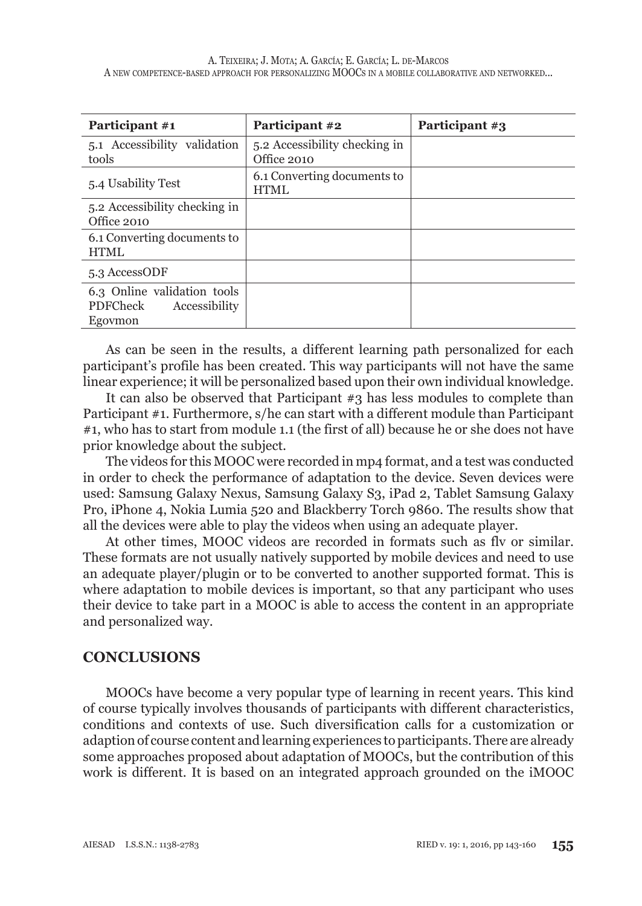| Participant #1                                                      | Participant #2                               | Participant #3 |
|---------------------------------------------------------------------|----------------------------------------------|----------------|
| 5.1 Accessibility validation<br>tools                               | 5.2 Accessibility checking in<br>Office 2010 |                |
| 5.4 Usability Test                                                  | 6.1 Converting documents to<br><b>HTML</b>   |                |
| 5.2 Accessibility checking in<br>Office 2010                        |                                              |                |
| 6.1 Converting documents to<br><b>HTML</b>                          |                                              |                |
| 5.3 AccessODF                                                       |                                              |                |
| 6.3 Online validation tools<br>PDFCheck<br>Accessibility<br>Egovmon |                                              |                |

As can be seen in the results, a different learning path personalized for each participant's profile has been created. This way participants will not have the same linear experience; it will be personalized based upon their own individual knowledge.

It can also be observed that Participant #3 has less modules to complete than Participant #1. Furthermore, s/he can start with a different module than Participant #1, who has to start from module 1.1 (the first of all) because he or she does not have prior knowledge about the subject.

The videos for this MOOC were recorded in mp4 format, and a test was conducted in order to check the performance of adaptation to the device. Seven devices were used: Samsung Galaxy Nexus, Samsung Galaxy S3, iPad 2, Tablet Samsung Galaxy Pro, iPhone 4, Nokia Lumia 520 and Blackberry Torch 9860. The results show that all the devices were able to play the videos when using an adequate player.

At other times, MOOC videos are recorded in formats such as flv or similar. These formats are not usually natively supported by mobile devices and need to use an adequate player/plugin or to be converted to another supported format. This is where adaptation to mobile devices is important, so that any participant who uses their device to take part in a MOOC is able to access the content in an appropriate and personalized way.

## **CONCLUSIONS**

MOOCs have become a very popular type of learning in recent years. This kind of course typically involves thousands of participants with different characteristics, conditions and contexts of use. Such diversification calls for a customization or adaption of course content and learning experiences to participants. There are already some approaches proposed about adaptation of MOOCs, but the contribution of this work is different. It is based on an integrated approach grounded on the iMOOC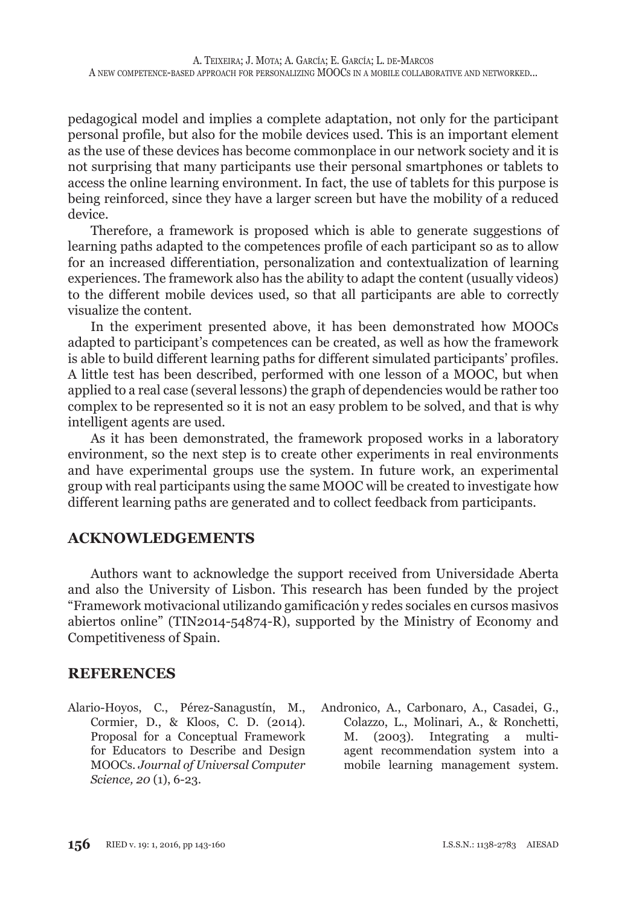pedagogical model and implies a complete adaptation, not only for the participant personal profile, but also for the mobile devices used. This is an important element as the use of these devices has become commonplace in our network society and it is not surprising that many participants use their personal smartphones or tablets to access the online learning environment. In fact, the use of tablets for this purpose is being reinforced, since they have a larger screen but have the mobility of a reduced device.

Therefore, a framework is proposed which is able to generate suggestions of learning paths adapted to the competences profile of each participant so as to allow for an increased differentiation, personalization and contextualization of learning experiences. The framework also has the ability to adapt the content (usually videos) to the different mobile devices used, so that all participants are able to correctly visualize the content.

In the experiment presented above, it has been demonstrated how MOOCs adapted to participant's competences can be created, as well as how the framework is able to build different learning paths for different simulated participants' profiles. A little test has been described, performed with one lesson of a MOOC, but when applied to a real case (several lessons) the graph of dependencies would be rather too complex to be represented so it is not an easy problem to be solved, and that is why intelligent agents are used.

As it has been demonstrated, the framework proposed works in a laboratory environment, so the next step is to create other experiments in real environments and have experimental groups use the system. In future work, an experimental group with real participants using the same MOOC will be created to investigate how different learning paths are generated and to collect feedback from participants.

## **ACKNOWLEDGEMENTS**

Authors want to acknowledge the support received from Universidade Aberta and also the University of Lisbon. This research has been funded by the project "Framework motivacional utilizando gamificación y redes sociales en cursos masivos abiertos online" (TIN2014-54874-R), supported by the Ministry of Economy and Competitiveness of Spain.

## **REFERENCES**

- Alario-Hoyos, C., Pérez-Sanagustín, M., Cormier, D., & Kloos, C. D. (2014). Proposal for a Conceptual Framework for Educators to Describe and Design MOOCs. *Journal of Universal Computer Science, 20* (1), 6-23.
- Andronico, A., Carbonaro, A., Casadei, G., Colazzo, L., Molinari, A., & Ronchetti, M. (2003). Integrating a multiagent recommendation system into a mobile learning management system.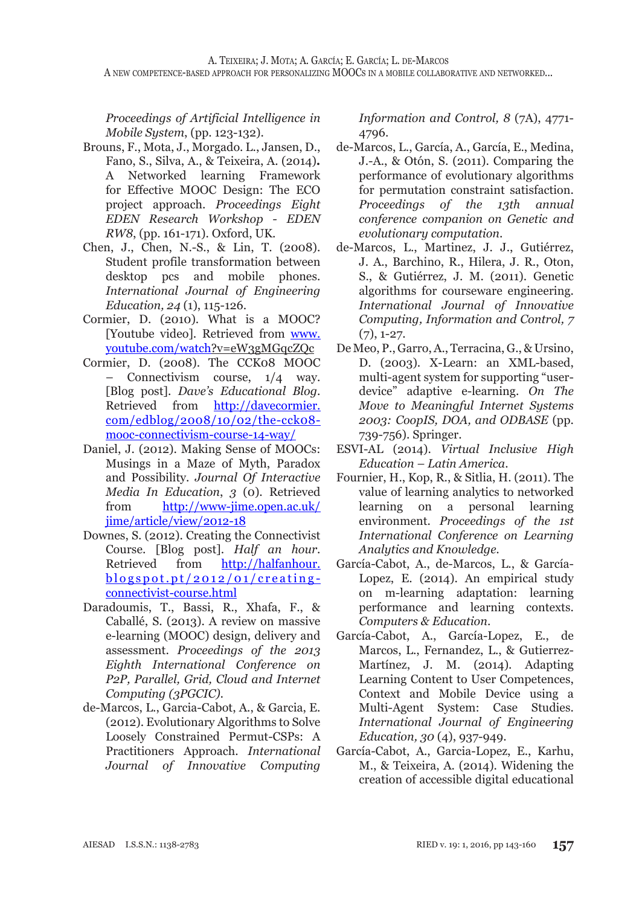*Proceedings of Artificial Intelligence in Mobile System*, (pp. 123-132).

- Brouns, F., Mota, J., Morgado. L., Jansen, D., Fano, S., Silva, A., & Teixeira, A. (2014)*.* A Networked learning Framework for Effective MOOC Design: The ECO project approach. *Proceedings Eight EDEN Research Workshop - EDEN RW8*, (pp. 161-171). Oxford, UK.
- Chen, J., Chen, N.-S., & Lin, T. (2008). Student profile transformation between desktop pcs and mobile phones. *International Journal of Engineering Education, 24* (1), 115-126.
- Cormier, D. (2010). What is a MOOC? [Youtube video]. Retrieved from [www.](www.youtube.com/watch) [youtube.com/watch?](www.youtube.com/watch)v=eW3gMGqcZQc
- Cormier, D. (2008). The CCK08 MOOC  $\sim$  Connectivism course,  $1/4$  way. [Blog post]. *Dave's Educational Blog*. Retrieved from [http://davecormier.](http://davecormier.com/edblog/2008/10/02/the-cck08-mooc-connectivism-course-14-way/) [com/edblog/2008/10/02/the-](http://davecormier.com/edblog/2008/10/02/the-cck08-mooc-connectivism-course-14-way/)cck08 mooc-connectivism-course-14-way/
- Daniel, J. (2012). Making Sense of MOOCs: Musings in a Maze of Myth, Paradox and Possibility. *Journal Of Interactive Media In Education*, *3* (0). Retrieved from [http://www-jime.open.ac.uk/](http://www-jime.open.ac.uk/jime/article/view/2012-18) [jime/article/view/2012-18](http://www-jime.open.ac.uk/jime/article/view/2012-18)
- Downes, S. (2012). Creating the Connectivist Course. [Blog post]. *Half an hour*. from [http://halfanhour.](http://halfanhour.blogspot.pt/2012/01/creating-connectivist-course.html) [blogspot.pt/2012/01/creating](http://halfanhour.blogspot.pt/2012/01/creating-connectivist-course.html)[connectivist-course.html](http://halfanhour.blogspot.pt/2012/01/creating-connectivist-course.html)
- Daradoumis, T., Bassi, R., Xhafa, F., & Caballé, S. (2013). A review on massive e-learning (MOOC) design, delivery and assessment. *Proceedings of the 2013 Eighth International Conference on P2P, Parallel, Grid, Cloud and Internet Computing (3PGCIC).*
- de-Marcos, L., Garcia-Cabot, A., & Garcia, E. (2012). Evolutionary Algorithms to Solve Loosely Constrained Permut-CSPs: A Practitioners Approach. *International Journal of Innovative Computing*

*Information and Control, 8* (7A), 4771- 4796.

- de-Marcos, L., García, A., García, E., Medina, J.-A., & Otón, S. (2011). Comparing the performance of evolutionary algorithms for permutation constraint satisfaction. *Proceedings of the 13th annual conference companion on Genetic and evolutionary computation*.
- de-Marcos, L., Martinez, J. J., Gutiérrez, J. A., Barchino, R., Hilera, J. R., Oton, S., & Gutiérrez, J. M. (2011). Genetic algorithms for courseware engineering. *International Journal of Innovative Computing, Information and Control, 7*   $(7), 1-27.$
- De Meo, P., Garro, A., Terracina, G., & Ursino, D. (2003). X-Learn: an XML-based, multi-agent system for supporting "userdevice" adaptive e-learning. *On The Move to Meaningful Internet Systems 2003: CoopIS, DOA, and ODBASE* (pp. 739-756). Springer.
- ESVI-AL (2014). *Virtual Inclusive High Education – Latin America*.
- Fournier, H., Kop, R., & Sitlia, H. (2011). The value of learning analytics to networked learning on a personal learning environment. *Proceedings of the 1st International Conference on Learning Analytics and Knowledge.*
- García-Cabot, A., de-Marcos, L., & García-Lopez, E. (2014). An empirical study on m-learning adaptation: learning performance and learning contexts. *Computers & Education*.
- García-Cabot, A., García-Lopez, E., de Marcos, L., Fernandez, L., & Gutierrez-Martínez, J. M. (2014). Adapting Learning Content to User Competences, Context and Mobile Device using a Multi-Agent System: Case Studies. *International Journal of Engineering Education, 30* (4), 937-949.
- García-Cabot, A., Garcia-Lopez, E., Karhu, M., & Teixeira, A. (2014). Widening the creation of accessible digital educational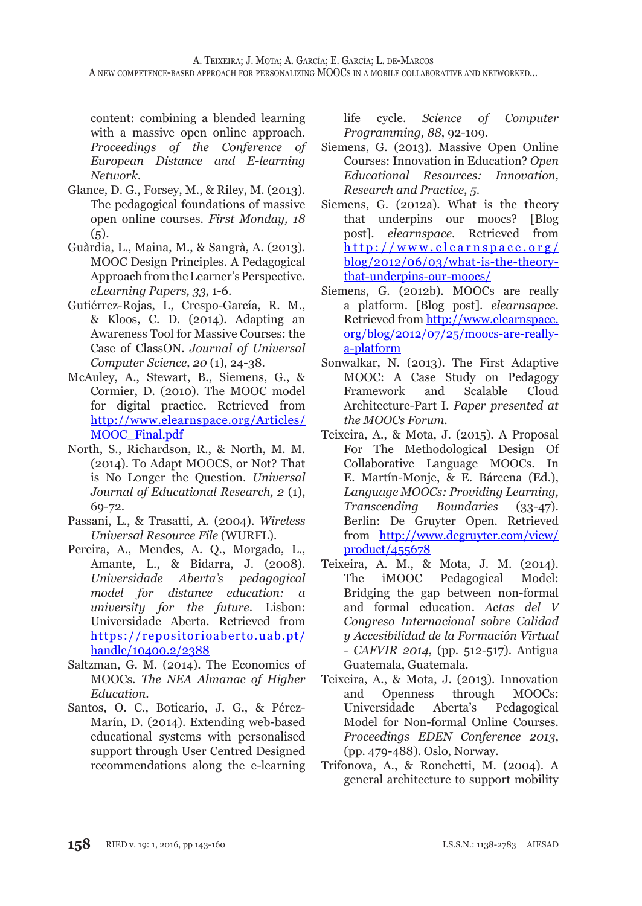content: combining a blended learning with a massive open online approach. *Proceedings of the Conference of European Distance and E-learning Network.*

- Glance, D. G., Forsey, M., & Riley, M. (2013). The pedagogical foundations of massive open online courses. *First Monday, 18*   $(5).$
- Guàrdia, L., Maina, M., & Sangrà, A. (2013). MOOC Design Principles. A Pedagogical Approach from the Learner's Perspective. *eLearning Papers, 33*, 1-6.
- Gutiérrez-Rojas, I., Crespo-García, R. M., & Kloos, C. D. (2014). Adapting an Awareness Tool for Massive Courses: the Case of ClassON. *Journal of Universal Computer Science, 20* (1), 24-38.
- McAuley, A., Stewart, B., Siemens, G., & Cormier, D. (2010). The MOOC model for digital practice. Retrieved from [http://www.elearnspace.org/Articles/](http://www.elearnspace.org/Articles/MOOC_Final.pdf) [MOOC\\_Final.pdf](http://www.elearnspace.org/Articles/MOOC_Final.pdf)
- North, S., Richardson, R., & North, M. M. (2014). To Adapt MOOCS, or Not? That is No Longer the Question. *Universal Journal of Educational Research, 2* (1), 69-72.
- Passani, L., & Trasatti, A. (2004). *Wireless Universal Resource File* (WURFL).
- Pereira, A., Mendes, A. Q., Morgado, L., Amante, L., & Bidarra, J. (2008). *Universidade Aberta's pedagogical model for distance education: a university for the future*. Lisbon: Universidade Aberta. Retrieved from [https://repositorioaberto.uab.pt/](https://repositorioaberto.uab.pt/handle/10400.2/2388) [handle/10400.2/2388](https://repositorioaberto.uab.pt/handle/10400.2/2388)
- Saltzman, G. M. (2014). The Economics of MOOCs. *The NEA Almanac of Higher Education*.
- Santos, O. C., Boticario, J. G., & Pérez-Marín, D. (2014). Extending web-based educational systems with personalised support through User Centred Designed recommendations along the e-learning

life cycle. *Science of Computer Programming, 88*, 92-109.

- Siemens, G. (2013). Massive Open Online Courses: Innovation in Education? *Open Educational Resources: Innovation, Research and Practice*, *5*.
- Siemens, G. (2012a). What is the theory that underpins our moocs? [Blog post]. *elearnspace*. Retrieved from [http://www.elearnspace.org/](http://www.elearnspace.org/blog/2012/06/03/what-is-the-theory-that-underpins-our-moocs/) [blog/2012/06/03/what-is-the-theory](http://www.elearnspace.org/blog/2012/06/03/what-is-the-theory-that-underpins-our-moocs/)[that-underpins-our-moocs/](http://www.elearnspace.org/blog/2012/06/03/what-is-the-theory-that-underpins-our-moocs/)
- Siemens, G. (2012b). MOOCs are really a platform. [Blog post]. *elearnsapce*. Retrieved from [http://www.elearnspace.](http://www.elearnspace.org/blog/2012/07/25/moocs-are-really-a-platform) [org/blog/2012/07/25/moocs-](http://www.elearnspace.org/blog/2012/07/25/moocs-are-really-a-platform)are-reallya-platform
- Sonwalkar, N. (2013). The First Adaptive MOOC: A Case Study on Pedagogy Framework Architecture-Part I*. Paper presented at the MOOCs Forum.*
- Teixeira, A., & Mota, J. (2015). A Proposal For The Methodological Design Of Collaborative Language MOOCs. In E. Martín-Monje, & E. Bárcena (Ed.), *Language MOOCs: Providing Learning, Transcending Boundaries* (33-47). Berlin: De Gruyter Open. Retrieved from [http://www.degruyter.com/view/](http://www.degruyter.com/view/product/455678) [product/455678](http://www.degruyter.com/view/product/455678)
- Teixeira, A. M., & Mota, J. M. (2014). The iMOOC Pedagogical Model: Bridging the gap between non-formal and formal education. *Actas del V Congreso Internacional sobre Calidad y Accesibilidad de la Formación Virtual - CAFVIR 2014*, (pp. 512-517). Antigua Guatemala, Guatemala.
- Teixeira, A., & Mota, J. (2013). Innovation and Openness through MOOCs:<br>Universidade Aberta's Pedagogical Universidade Aberta's Pedagogical Model for Non-formal Online Courses. *Proceedings EDEN Conference 2013*, (pp. 479-488). Oslo, Norway.
- Trifonova, A., & Ronchetti, M. (2004). A general architecture to support mobility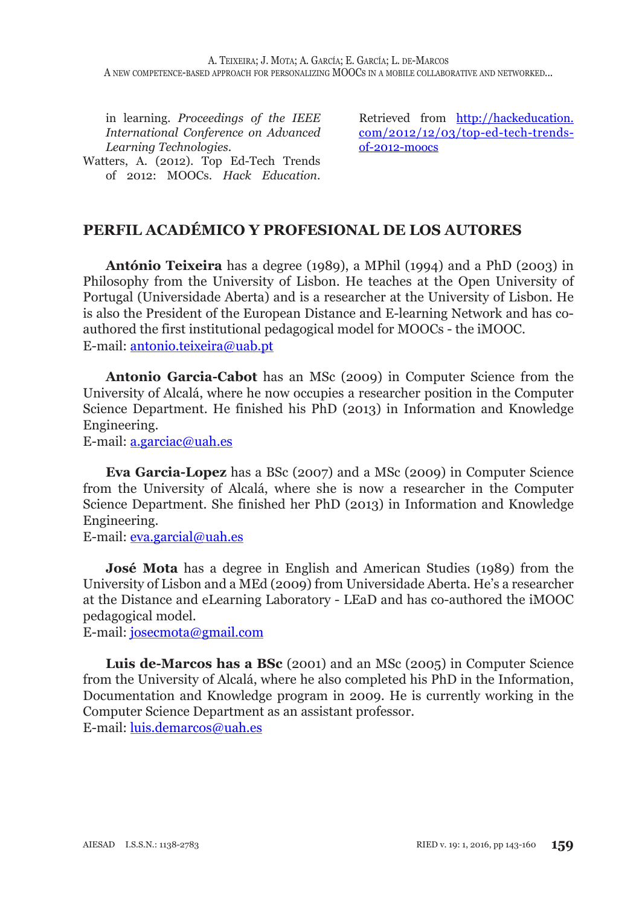in learning*. Proceedings of the IEEE International Conference on Advanced Learning Technologies*.

Watters, A. (2012). Top Ed-Tech Trends of 2012: MOOCs. *Hack Education*. Retrieved from [http://hackeducation.](http://hackeducation.com/2012/12/03/top-ed-tech-trends-of-2012-moocs) [com/2012/12/03/top-ed-tech-trends](http://hackeducation.com/2012/12/03/top-ed-tech-trends-of-2012-moocs)[of-2012-moocs](http://hackeducation.com/2012/12/03/top-ed-tech-trends-of-2012-moocs)

## **PERFIL ACADÉMICO Y PROFESIONAL DE LOS AUTORES**

**António Teixeira** has a degree (1989), a MPhil (1994) and a PhD (2003) in Philosophy from the University of Lisbon. He teaches at the Open University of Portugal (Universidade Aberta) and is a researcher at the University of Lisbon. He is also the President of the European Distance and E-learning Network and has coauthored the first institutional pedagogical model for MOOCs - the iMOOC. E-mail: a[ntonio.teixeira@uab.pt](mailto:Antonio.Teixeira@uab.pt)

**Antonio Garcia-Cabot** has an MSc (2009) in Computer Science from the University of Alcalá, where he now occupies a researcher position in the Computer Science Department. He finished his PhD (2013) in Information and Knowledge Engineering.

E-mail: [a.garciac@uah.es](mailto:a.garciac@uah.es)

**Eva Garcia-Lopez** has a BSc (2007) and a MSc (2009) in Computer Science from the University of Alcalá, where she is now a researcher in the Computer Science Department. She finished her PhD (2013) in Information and Knowledge Engineering.

E-mail: [eva.garcial@uah.es](mailto:eva.garcial@uah.es)

**José Mota** has a degree in English and American Studies (1989) from the University of Lisbon and a MEd (2009) from Universidade Aberta. He's a researcher at the Distance and eLearning Laboratory - LEaD and has co-authored the iMOOC pedagogical model.

E-mail: [josecmota@gmail.com](mailto:josecmota@gmail.com)

**Luis de-Marcos has a BSc** (2001) and an MSc (2005) in Computer Science from the University of Alcalá, where he also completed his PhD in the Information, Documentation and Knowledge program in 2009. He is currently working in the Computer Science Department as an assistant professor. E-mail: [luis.demarcos@uah.es](mailto:luis.demarcos@uah.es)